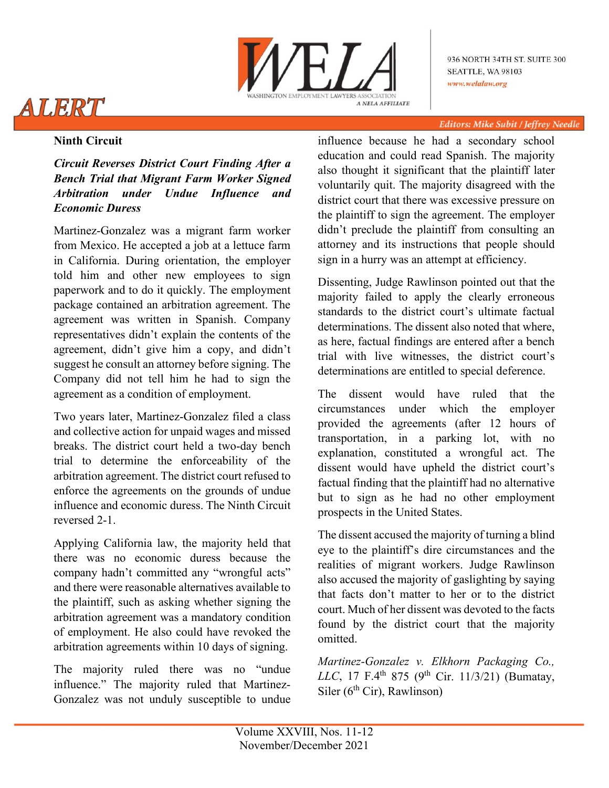

936 NORTH 34TH ST. SUITE 300 SEATTLE, WA 98103 www.welalaw.org

#### Editors: Mike Subit / Jeffrey Needle

# **Ninth Circuit**

ALERT

*Circuit Reverses District Court Finding After a Bench Trial that Migrant Farm Worker Signed Arbitration under Undue Influence and Economic Duress*

Martinez-Gonzalez was a migrant farm worker from Mexico. He accepted a job at a lettuce farm in California. During orientation, the employer told him and other new employees to sign paperwork and to do it quickly. The employment package contained an arbitration agreement. The agreement was written in Spanish. Company representatives didn't explain the contents of the agreement, didn't give him a copy, and didn't suggest he consult an attorney before signing. The Company did not tell him he had to sign the agreement as a condition of employment.

Two years later, Martinez-Gonzalez filed a class and collective action for unpaid wages and missed breaks. The district court held a two-day bench trial to determine the enforceability of the arbitration agreement. The district court refused to enforce the agreements on the grounds of undue influence and economic duress. The Ninth Circuit reversed 2-1.

Applying California law, the majority held that there was no economic duress because the company hadn't committed any "wrongful acts" and there were reasonable alternatives available to the plaintiff, such as asking whether signing the arbitration agreement was a mandatory condition of employment. He also could have revoked the arbitration agreements within 10 days of signing.

The majority ruled there was no "undue influence." The majority ruled that Martinez-Gonzalez was not unduly susceptible to undue

influence because he had a secondary school education and could read Spanish. The majority also thought it significant that the plaintiff later voluntarily quit. The majority disagreed with the district court that there was excessive pressure on the plaintiff to sign the agreement. The employer didn't preclude the plaintiff from consulting an attorney and its instructions that people should sign in a hurry was an attempt at efficiency.

Dissenting, Judge Rawlinson pointed out that the majority failed to apply the clearly erroneous standards to the district court's ultimate factual determinations. The dissent also noted that where, as here, factual findings are entered after a bench trial with live witnesses, the district court's determinations are entitled to special deference.

The dissent would have ruled that the circumstances under which the employer provided the agreements (after 12 hours of transportation, in a parking lot, with no explanation, constituted a wrongful act. The dissent would have upheld the district court's factual finding that the plaintiff had no alternative but to sign as he had no other employment prospects in the United States.

The dissent accused the majority of turning a blind eye to the plaintiff's dire circumstances and the realities of migrant workers. Judge Rawlinson also accused the majority of gaslighting by saying that facts don't matter to her or to the district court. Much of her dissent was devoted to the facts found by the district court that the majority omitted.

*Martinez-Gonzalez v. Elkhorn Packaging Co., LLC*, 17 F.4<sup>th</sup> 875 (9<sup>th</sup> Cir. 11/3/21) (Bumatay, Siler ( $6<sup>th</sup>$  Cir), Rawlinson)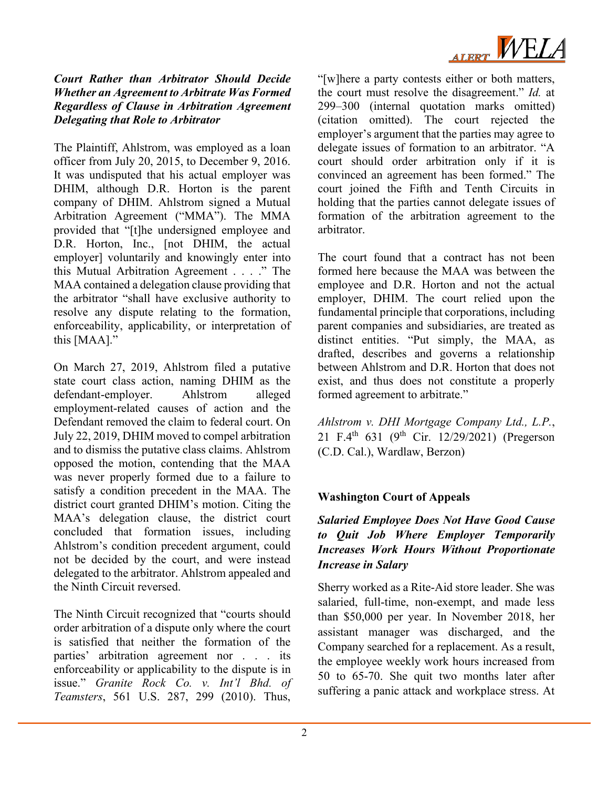

### *Court Rather than Arbitrator Should Decide Whether an Agreement to Arbitrate Was Formed Regardless of Clause in Arbitration Agreement Delegating that Role to Arbitrator*

The Plaintiff, Ahlstrom, was employed as a loan officer from July 20, 2015, to December 9, 2016. It was undisputed that his actual employer was DHIM, although D.R. Horton is the parent company of DHIM. Ahlstrom signed a Mutual Arbitration Agreement ("MMA"). The MMA provided that "[t]he undersigned employee and D.R. Horton, Inc., [not DHIM, the actual employer] voluntarily and knowingly enter into this Mutual Arbitration Agreement . . . ." The MAA contained a delegation clause providing that the arbitrator "shall have exclusive authority to resolve any dispute relating to the formation, enforceability, applicability, or interpretation of this [MAA]."

On March 27, 2019, Ahlstrom filed a putative state court class action, naming DHIM as the defendant-employer. Ahlstrom alleged defendant-employer. Ahlstrom alleged employment-related causes of action and the Defendant removed the claim to federal court. On July 22, 2019, DHIM moved to compel arbitration and to dismiss the putative class claims. Ahlstrom opposed the motion, contending that the MAA was never properly formed due to a failure to satisfy a condition precedent in the MAA. The district court granted DHIM's motion. Citing the MAA's delegation clause, the district court concluded that formation issues, including Ahlstrom's condition precedent argument, could not be decided by the court, and were instead delegated to the arbitrator. Ahlstrom appealed and the Ninth Circuit reversed.

The Ninth Circuit recognized that "courts should order arbitration of a dispute only where the court is satisfied that neither the formation of the parties' arbitration agreement nor . . . its enforceability or applicability to the dispute is in issue." *Granite Rock Co. v. Int'l Bhd. of Teamsters*, 561 U.S. 287, 299 (2010). Thus,

"[w]here a party contests either or both matters, the court must resolve the disagreement." *Id.* at 299–300 (internal quotation marks omitted) (citation omitted). The court rejected the employer's argument that the parties may agree to delegate issues of formation to an arbitrator. "A court should order arbitration only if it is convinced an agreement has been formed." The court joined the Fifth and Tenth Circuits in holding that the parties cannot delegate issues of formation of the arbitration agreement to the arbitrator.

The court found that a contract has not been formed here because the MAA was between the employee and D.R. Horton and not the actual employer, DHIM. The court relied upon the fundamental principle that corporations, including parent companies and subsidiaries, are treated as distinct entities. "Put simply, the MAA, as drafted, describes and governs a relationship between Ahlstrom and D.R. Horton that does not exist, and thus does not constitute a properly formed agreement to arbitrate."

*Ahlstrom v. DHI Mortgage Company Ltd., L.P.*, 21 F.4<sup>th</sup> 631 (9<sup>th</sup> Cir. 12/29/2021) (Pregerson (C.D. Cal.), Wardlaw, Berzon)

# **Washington Court of Appeals**

## *Salaried Employee Does Not Have Good Cause to Quit Job Where Employer Temporarily Increases Work Hours Without Proportionate Increase in Salary*

Sherry worked as a Rite-Aid store leader. She was salaried, full-time, non-exempt, and made less than \$50,000 per year. In November 2018, her assistant manager was discharged, and the Company searched for a replacement. As a result, the employee weekly work hours increased from 50 to 65-70. She quit two months later after suffering a panic attack and workplace stress. At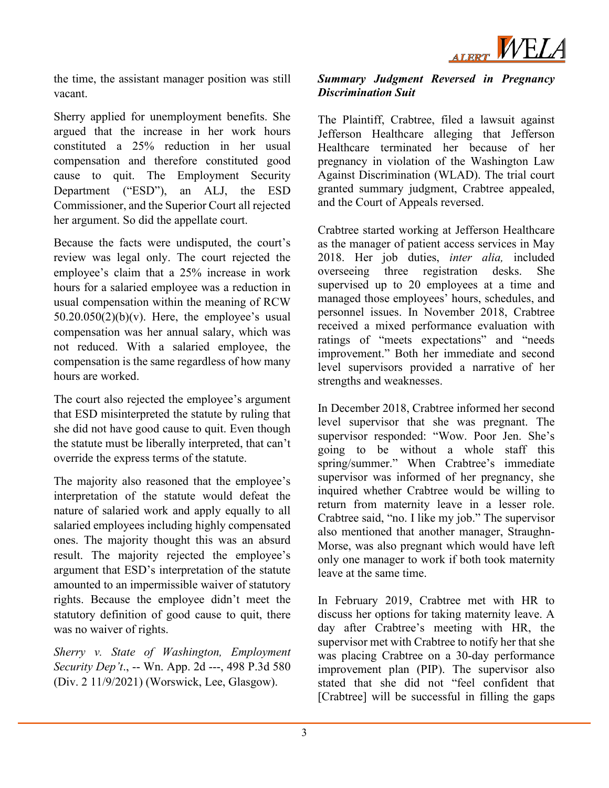

the time, the assistant manager position was still vacant.

Sherry applied for unemployment benefits. She argued that the increase in her work hours constituted a 25% reduction in her usual compensation and therefore constituted good cause to quit. The Employment Security Department ("ESD"), an ALJ, the ESD Commissioner, and the Superior Court all rejected her argument. So did the appellate court.

Because the facts were undisputed, the court's review was legal only. The court rejected the employee's claim that a 25% increase in work hours for a salaried employee was a reduction in usual compensation within the meaning of RCW  $50.20.050(2)(b)(v)$ . Here, the employee's usual compensation was her annual salary, which was not reduced. With a salaried employee, the compensation is the same regardless of how many hours are worked.

The court also rejected the employee's argument that ESD misinterpreted the statute by ruling that she did not have good cause to quit. Even though the statute must be liberally interpreted, that can't override the express terms of the statute.

The majority also reasoned that the employee's interpretation of the statute would defeat the nature of salaried work and apply equally to all salaried employees including highly compensated ones. The majority thought this was an absurd result. The majority rejected the employee's argument that ESD's interpretation of the statute amounted to an impermissible waiver of statutory rights. Because the employee didn't meet the statutory definition of good cause to quit, there was no waiver of rights.

*Sherry v. State of Washington, Employment Security Dep't*., -- Wn. App. 2d ---, 498 P.3d 580 (Div. 2 11/9/2021) (Worswick, Lee, Glasgow).

#### *Summary Judgment Reversed in Pregnancy Discrimination Suit*

The Plaintiff, Crabtree, filed a lawsuit against Jefferson Healthcare alleging that Jefferson Healthcare terminated her because of her pregnancy in violation of the Washington Law Against Discrimination (WLAD). The trial court granted summary judgment, Crabtree appealed, and the Court of Appeals reversed.

Crabtree started working at Jefferson Healthcare as the manager of patient access services in May 2018. Her job duties, *inter alia,* included overseeing three registration desks. She supervised up to 20 employees at a time and managed those employees' hours, schedules, and personnel issues. In November 2018, Crabtree received a mixed performance evaluation with ratings of "meets expectations" and "needs improvement." Both her immediate and second level supervisors provided a narrative of her strengths and weaknesses.

In December 2018, Crabtree informed her second level supervisor that she was pregnant. The supervisor responded: "Wow. Poor Jen. She's going to be without a whole staff this spring/summer." When Crabtree's immediate supervisor was informed of her pregnancy, she inquired whether Crabtree would be willing to return from maternity leave in a lesser role. Crabtree said, "no. I like my job." The supervisor also mentioned that another manager, Straughn-Morse, was also pregnant which would have left only one manager to work if both took maternity leave at the same time.

In February 2019, Crabtree met with HR to discuss her options for taking maternity leave. A day after Crabtree's meeting with HR, the supervisor met with Crabtree to notify her that she was placing Crabtree on a 30-day performance improvement plan (PIP). The supervisor also stated that she did not "feel confident that [Crabtree] will be successful in filling the gaps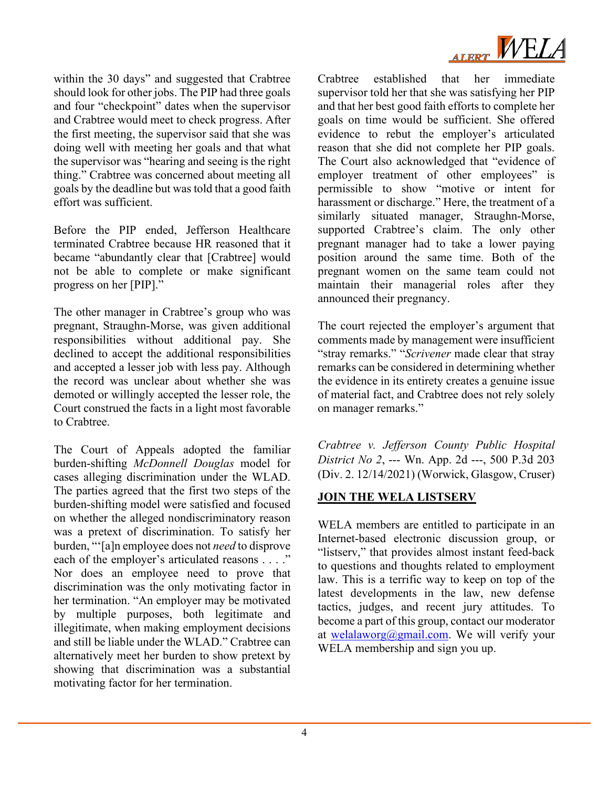

within the 30 days" and suggested that Crabtree should look for other jobs. The PIP had three goals and four "checkpoint" dates when the supervisor and Crabtree would meet to check progress. After the first meeting, the supervisor said that she was doing well with meeting her goals and that what the supervisor was "hearing and seeing is the right thing." Crabtree was concerned about meeting all goals by the deadline but was told that a good faith effort was sufficient.

Before the PIP ended, Jefferson Healthcare terminated Crabtree because HR reasoned that it became "abundantly clear that [Crabtree] would not be able to complete or make significant progress on her [PIP]."

The other manager in Crabtree's group who was pregnant, Straughn-Morse, was given additional responsibilities without additional pay. She declined to accept the additional responsibilities and accepted a lesser job with less pay. Although the record was unclear about whether she was demoted or willingly accepted the lesser role, the Court construed the facts in a light most favorable to Crabtree.

The Court of Appeals adopted the familiar burden-shifting *McDonnell Douglas* model for cases alleging discrimination under the WLAD. The parties agreed that the first two steps of the burden-shifting model were satisfied and focused on whether the alleged nondiscriminatory reason was a pretext of discrimination. To satisfy her burden, "'[a]n employee does not *need* to disprove each of the employer's articulated reasons . . . ." Nor does an employee need to prove that discrimination was the only motivating factor in her termination. "An employer may be motivated by multiple purposes, both legitimate and illegitimate, when making employment decisions and still be liable under the WLAD." Crabtree can alternatively meet her burden to show pretext by showing that discrimination was a substantial motivating factor for her termination.

Crabtree established that her immediate supervisor told her that she was satisfying her PIP and that her best good faith efforts to complete her goals on time would be sufficient. She offered evidence to rebut the employer's articulated reason that she did not complete her PIP goals. The Court also acknowledged that "evidence of employer treatment of other employees" is permissible to show "motive or intent for harassment or discharge." Here, the treatment of a similarly situated manager, Straughn-Morse, supported Crabtree's claim. The only other pregnant manager had to take a lower paying position around the same time. Both of the pregnant women on the same team could not maintain their managerial roles after they announced their pregnancy.

The court rejected the employer's argument that comments made by management were insufficient "stray remarks." "*Scrivener* made clear that stray remarks can be considered in determining whether the evidence in its entirety creates a genuine issue of material fact, and Crabtree does not rely solely on manager remarks."

*Crabtree v. Jefferson County Public Hospital District No 2*, --- Wn. App. 2d ---, 500 P.3d 203 (Div. 2. 12/14/2021) (Worwick, Glasgow, Cruser)

## **JOIN THE WELA LISTSERV**

WELA members are entitled to participate in an Internet-based electronic discussion group, or "listserv," that provides almost instant feed-back to questions and thoughts related to employment law. This is a terrific way to keep on top of the latest developments in the law, new defense tactics, judges, and recent jury attitudes. To become a part of this group, contact our moderator at [welalaworg@gmail.com.](mailto:welalaworg@gmail.com) We will verify your WELA membership and sign you up.